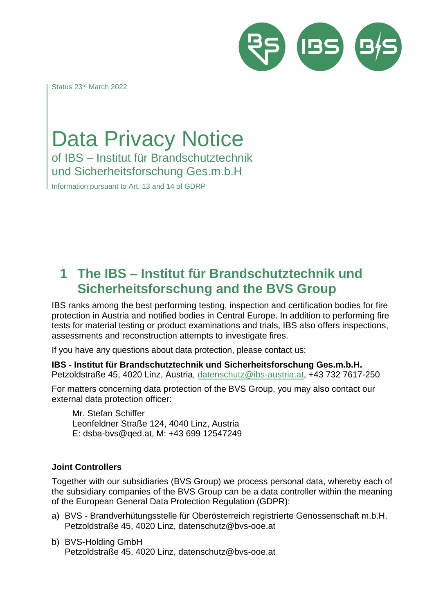

<span id="page-0-0"></span>Status 23rd March 2022

# Data Privacy Notice

of IBS – Institut für Brandschutztechnik und Sicherheitsforschung Ges.m.b.H

Information pursuant to Art. 13 and 14 of GDRP

# **1 The IBS – Institut für Brandschutztechnik und Sicherheitsforschung and the BVS Group**

IBS ranks among the best performing testing, inspection and certification bodies for fire protection in Austria and notified bodies in Central Europe. In addition to performing fire tests for material testing or product examinations and trials, IBS also offers inspections, assessments and reconstruction attempts to investigate fires.

If you have any questions about data protection, please contact us:

**IBS - Institut für Brandschutztechnik und Sicherheitsforschung Ges.m.b.H.** Petzoldstraße 45, 4020 Linz, Austria, [datenschutz@ibs-austria.at,](mailto:datenschutz@ibs-austria.at) +43 732 7617-250

For matters concerning data protection of the BVS Group, you may also contact our external data protection officer:

Mr. Stefan Schiffer Leonfeldner Straße 124, 4040 Linz, Austria E: dsba-bvs@qed.at, M: +43 699 12547249

#### **Joint Controllers**

Together with our subsidiaries (BVS Group) we process personal data, whereby each of the subsidiary companies of the BVS Group can be a data controller within the meaning of the European General Data Protection Regulation (GDPR):

- a) BVS Brandverhütungsstelle für Oberösterreich registrierte Genossenschaft m.b.H. Petzoldstraße 45, 4020 Linz, datenschutz@bvs-ooe.at
- b) BVS-Holding GmbH Petzoldstraße 45, 4020 Linz, datenschutz@bvs-ooe.at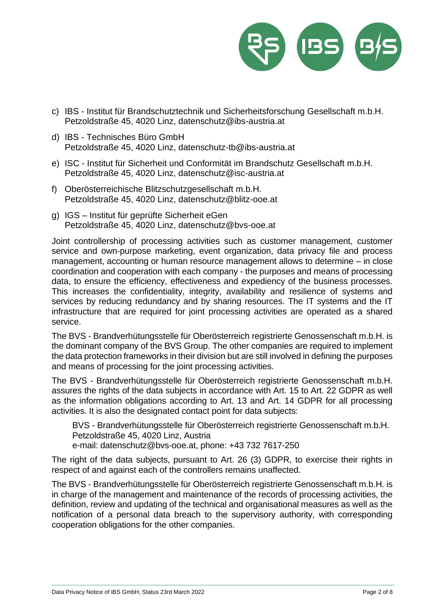

- c) IBS Institut für Brandschutztechnik und Sicherheitsforschung Gesellschaft m.b.H. Petzoldstraße 45, 4020 Linz, datenschutz@ibs-austria.at
- d) IBS Technisches Büro GmbH Petzoldstraße 45, 4020 Linz, datenschutz-tb@ibs-austria.at
- e) ISC Institut für Sicherheit und Conformität im Brandschutz Gesellschaft m.b.H. Petzoldstraße 45, 4020 Linz, datenschutz@isc-austria.at
- f) Oberösterreichische Blitzschutzgesellschaft m.b.H. Petzoldstraße 45, 4020 Linz, datenschutz@blitz-ooe.at
- g) IGS Institut für geprüfte Sicherheit eGen Petzoldstraße 45, 4020 Linz, datenschutz@bvs-ooe.at

Joint controllership of processing activities such as customer management, customer service and own-purpose marketing, event organization, data privacy file and process management, accounting or human resource management allows to determine – in close coordination and cooperation with each company - the purposes and means of processing data, to ensure the efficiency, effectiveness and expediency of the business processes. This increases the confidentiality, integrity, availability and resilience of systems and services by reducing redundancy and by sharing resources. The IT systems and the IT infrastructure that are required for joint processing activities are operated as a shared service.

The BVS - Brandverhütungsstelle für Oberösterreich registrierte Genossenschaft m.b.H. is the dominant company of the BVS Group. The other companies are required to implement the data protection frameworks in their division but are still involved in defining the purposes and means of processing for the joint processing activities.

The BVS - Brandverhütungsstelle für Oberösterreich registrierte Genossenschaft m.b.H. assures the rights of the data subjects in accordance with Art. 15 to Art. 22 GDPR as well as the information obligations according to Art. 13 and Art. 14 GDPR for all processing activities. It is also the designated contact point for data subjects:

BVS - Brandverhütungsstelle für Oberösterreich registrierte Genossenschaft m.b.H. Petzoldstraße 45, 4020 Linz, Austria e-mail: datenschutz@bvs-ooe.at, phone: +43 732 7617-250

The right of the data subjects, pursuant to Art. 26 (3) GDPR, to exercise their rights in respect of and against each of the controllers remains unaffected.

The BVS - Brandverhütungsstelle für Oberösterreich registrierte Genossenschaft m.b.H. is in charge of the management and maintenance of the records of processing activities, the definition, review and updating of the technical and organisational measures as well as the notification of a personal data breach to the supervisory authority, with corresponding cooperation obligations for the other companies.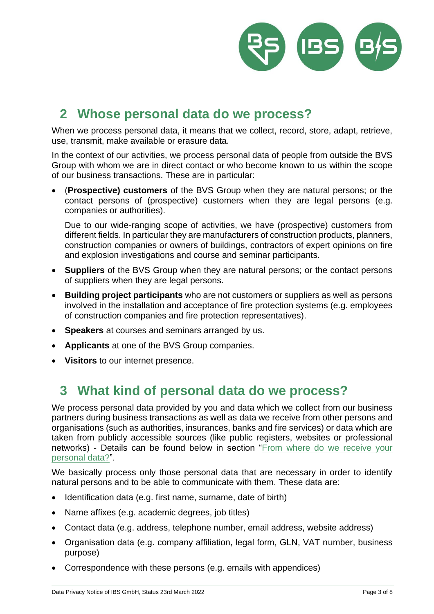

# **2 Whose personal data do we process?**

When we process personal data, it means that we collect, record, store, adapt, retrieve, use, transmit, make available or erasure data.

In the context of our activities, we process personal data of people from outside the BVS Group with whom we are in direct contact or who become known to us within the scope of our business transactions. These are in particular:

• (**Prospective) customers** of the BVS Group when they are natural persons; or the contact persons of (prospective) customers when they are legal persons (e.g. companies or authorities).

Due to our wide-ranging scope of activities, we have (prospective) customers from different fields. In particular they are manufacturers of construction products, planners, construction companies or owners of buildings, contractors of expert opinions on fire and explosion investigations and course and seminar participants.

- **Suppliers** of the BVS Group when they are natural persons; or the contact persons of suppliers when they are legal persons.
- **Building project participants** who are not customers or suppliers as well as persons involved in the installation and acceptance of fire protection systems (e.g. employees of construction companies and fire protection representatives).
- **Speakers** at courses and seminars arranged by us.
- **Applicants** at one of the BVS Group companies.
- **Visitors** to our internet presence.

# **3 What kind of personal data do we process?**

We process personal data provided by you and data which we collect from our business partners during business transactions as well as data we receive from other persons and organisations (such as authorities, insurances, banks and fire services) or data which are taken from publicly accessible sources (like public registers, websites or professional networks) - Details can be found below in section ["From where do we receive your](#page-4-0)  [personal data?"](#page-4-0).

We basically process only those personal data that are necessary in order to identify natural persons and to be able to communicate with them. These data are:

- Identification data (e.g. first name, surname, date of birth)
- Name affixes (e.g. academic degrees, job titles)
- Contact data (e.g. address, telephone number, email address, website address)
- Organisation data (e.g. company affiliation, legal form, GLN, VAT number, business purpose)
- Correspondence with these persons (e.g. emails with appendices)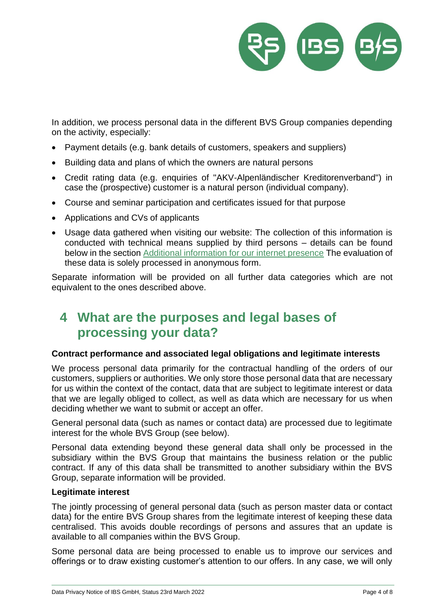

In addition, we process personal data in the different BVS Group companies depending on the activity, especially:

- Payment details (e.g. bank details of customers, speakers and suppliers)
- Building data and plans of which the owners are natural persons
- Credit rating data (e.g. enquiries of "AKV-Alpenländischer Kreditorenverband") in case the (prospective) customer is a natural person (individual company).
- Course and seminar participation and certificates issued for that purpose
- Applications and CVs of applicants
- Usage data gathered when visiting our website: The collection of this information is conducted with technical means supplied by third persons – details can be found below in the section [Additional information for our internet presence](#page-5-0) The evaluation of these data is solely processed in anonymous form.

Separate information will be provided on all further data categories which are not equivalent to the ones described above.

# **4 What are the purposes and legal bases of processing your data?**

#### **Contract performance and associated legal obligations and legitimate interests**

We process personal data primarily for the contractual handling of the orders of our customers, suppliers or authorities. We only store those personal data that are necessary for us within the context of the contact, data that are subject to legitimate interest or data that we are legally obliged to collect, as well as data which are necessary for us when deciding whether we want to submit or accept an offer.

General personal data (such as names or contact data) are processed due to legitimate interest for the whole BVS Group (see below).

Personal data extending beyond these general data shall only be processed in the subsidiary within the BVS Group that maintains the business relation or the public contract. If any of this data shall be transmitted to another subsidiary within the BVS Group, separate information will be provided.

#### **Legitimate interest**

The jointly processing of general personal data (such as person master data or contact data) for the entire BVS Group shares from the legitimate interest of keeping these data centralised. This avoids double recordings of persons and assures that an update is available to all companies within the BVS Group.

Some personal data are being processed to enable us to improve our services and offerings or to draw existing customer's attention to our offers. In any case, we will only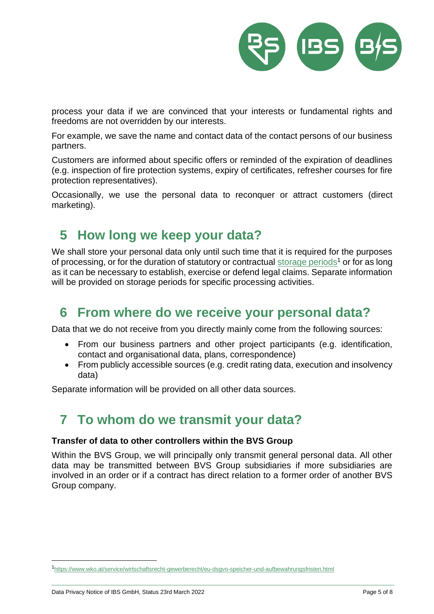

process your data if we are convinced that your interests or fundamental rights and freedoms are not overridden by our interests.

For example, we save the name and contact data of the contact persons of our business partners.

Customers are informed about specific offers or reminded of the expiration of deadlines (e.g. inspection of fire protection systems, expiry of certificates, refresher courses for fire protection representatives).

Occasionally, we use the personal data to reconquer or attract customers (direct marketing).

# **5 How long we keep your data?**

We shall store your personal data only until such time that it is required for the purposes of processing, or for the duration of statutory or contractual [storage periods](https://www.wko.at/service/wirtschaftsrecht-gewerberecht/eu-dsgvo-speicher-und-aufbewahrungsfristen.html)<sup>1</sup> or for as long as it can be necessary to establish, exercise or defend legal claims. Separate information will be provided on storage periods for specific processing activities.

### <span id="page-4-0"></span>**6 From where do we receive your personal data?**

Data that we do not receive from you directly mainly come from the following sources:

- From our business partners and other project participants (e.g. identification, contact and organisational data, plans, correspondence)
- From publicly accessible sources (e.g. credit rating data, execution and insolvency data)

Separate information will be provided on all other data sources.

# **7 To whom do we transmit your data?**

#### **Transfer of data to other controllers within the BVS Group**

Within the BVS Group, we will principally only transmit general personal data. All other data may be transmitted between BVS Group subsidiaries if more subsidiaries are involved in an order or if a contract has direct relation to a former order of another BVS Group company.

<sup>1</sup><https://www.wko.at/service/wirtschaftsrecht-gewerberecht/eu-dsgvo-speicher-und-aufbewahrungsfristen.html>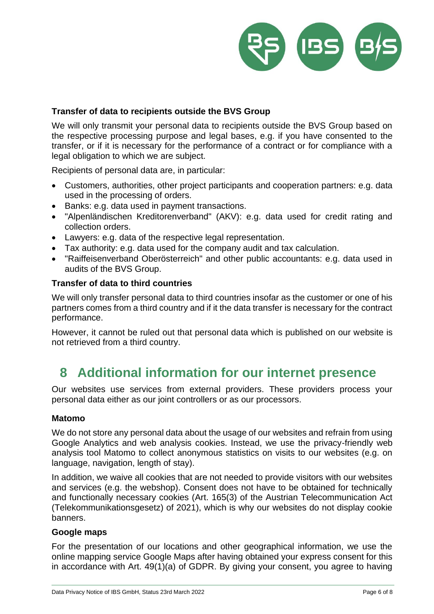

#### **Transfer of data to recipients outside the BVS Group**

We will only transmit your personal data to recipients outside the BVS Group based on the respective processing purpose and legal bases, e.g. if you have consented to the transfer, or if it is necessary for the performance of a contract or for compliance with a legal obligation to which we are subject.

Recipients of personal data are, in particular:

- Customers, authorities, other project participants and cooperation partners: e.g. data used in the processing of orders.
- Banks: e.g. data used in payment transactions.
- "Alpenländischen Kreditorenverband" (AKV): e.g. data used for credit rating and collection orders.
- Lawyers: e.g. data of the respective legal representation.
- Tax authority: e.g. data used for the company audit and tax calculation.
- "Raiffeisenverband Oberösterreich" and other public accountants: e.g. data used in audits of the BVS Group.

#### **Transfer of data to third countries**

We will only transfer personal data to third countries insofar as the customer or one of his partners comes from a third country and if it the data transfer is necessary for the contract performance.

<span id="page-5-0"></span>However, it cannot be ruled out that personal data which is published on our website is not retrieved from a third country.

### **8 Additional information for our internet presence**

Our websites use services from external providers. These providers process your personal data either as our joint controllers or as our processors.

#### **Matomo**

We do not store any personal data about the usage of our websites and refrain from using Google Analytics and web analysis cookies. Instead, we use the privacy-friendly web analysis tool Matomo to collect anonymous statistics on visits to our websites (e.g. on language, navigation, length of stay).

In addition, we waive all cookies that are not needed to provide visitors with our websites and services (e.g. the webshop). Consent does not have to be obtained for technically and functionally necessary cookies (Art. 165(3) of the Austrian Telecommunication Act (Telekommunikationsgesetz) of 2021), which is why our websites do not display cookie banners.

#### **Google maps**

For the presentation of our locations and other geographical information, we use the online mapping service Google Maps after having obtained your express consent for this in accordance with Art. 49(1)(a) of GDPR. By giving your consent, you agree to having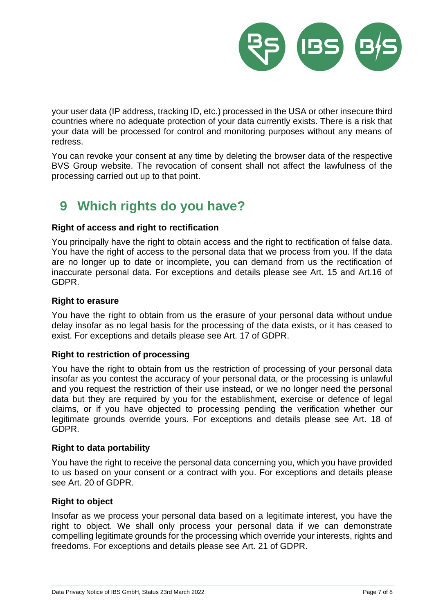

your user data (IP address, tracking ID, etc.) processed in the USA or other insecure third countries where no adequate protection of your data currently exists. There is a risk that your data will be processed for control and monitoring purposes without any means of redress.

You can revoke your consent at any time by deleting the browser data of the respective BVS Group website. The revocation of consent shall not affect the lawfulness of the processing carried out up to that point.

# **9 Which rights do you have?**

#### **Right of access and right to rectification**

You principally have the right to obtain access and the right to rectification of false data. You have the right of access to the personal data that we process from you. If the data are no longer up to date or incomplete, you can demand from us the rectification of inaccurate personal data. For exceptions and details please see Art. 15 and Art.16 of GDPR.

#### **Right to erasure**

You have the right to obtain from us the erasure of your personal data without undue delay insofar as no legal basis for the processing of the data exists, or it has ceased to exist. For exceptions and details please see Art. 17 of GDPR.

#### **Right to restriction of processing**

You have the right to obtain from us the restriction of processing of your personal data insofar as you contest the accuracy of your personal data, or the processing is unlawful and you request the restriction of their use instead, or we no longer need the personal data but they are required by you for the establishment, exercise or defence of legal claims, or if you have objected to processing pending the verification whether our legitimate grounds override yours. For exceptions and details please see Art. 18 of GDPR.

#### **Right to data portability**

You have the right to receive the personal data concerning you, which you have provided to us based on your consent or a contract with you. For exceptions and details please see Art. 20 of GDPR.

#### **Right to object**

Insofar as we process your personal data based on a legitimate interest, you have the right to object. We shall only process your personal data if we can demonstrate compelling legitimate grounds for the processing which override your interests, rights and freedoms. For exceptions and details please see Art. 21 of GDPR.